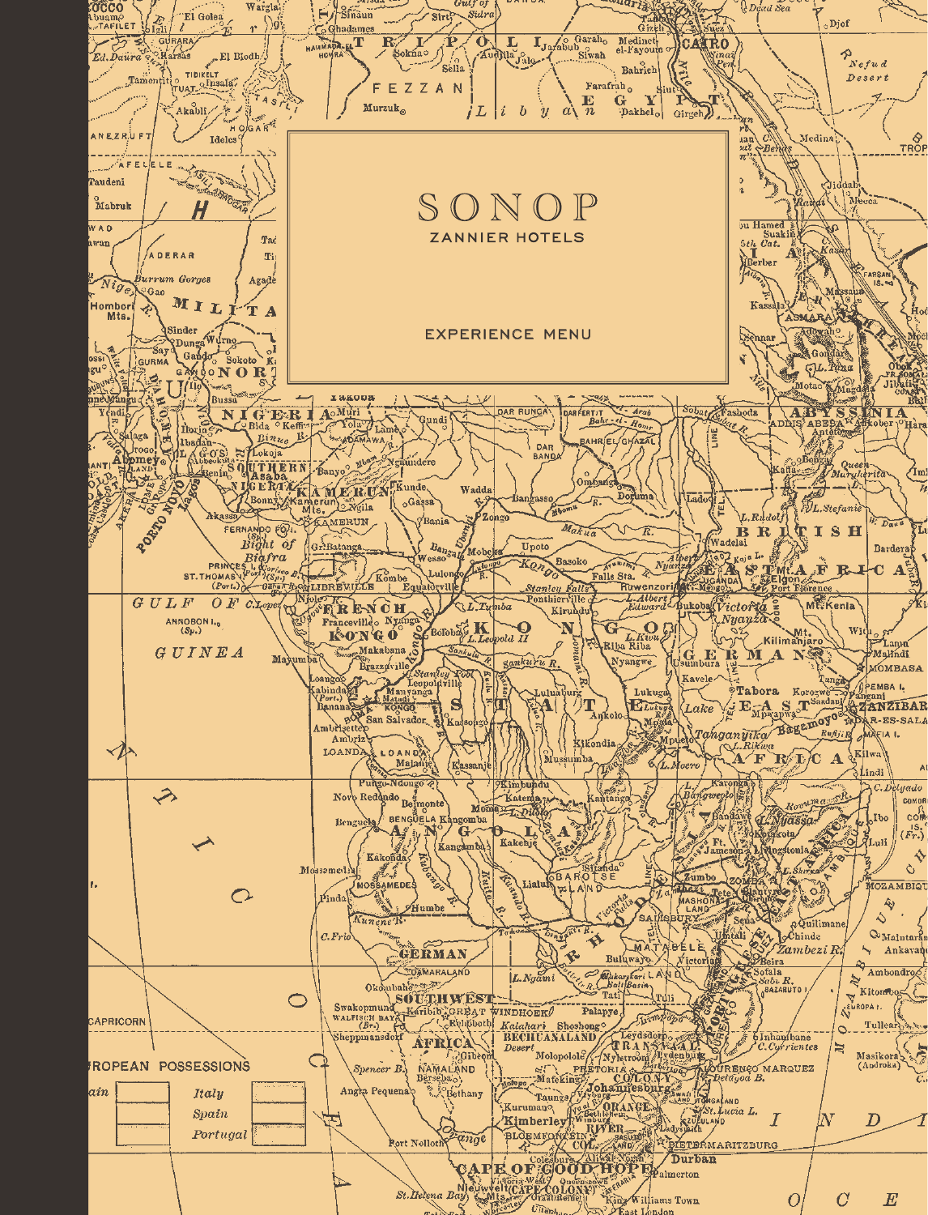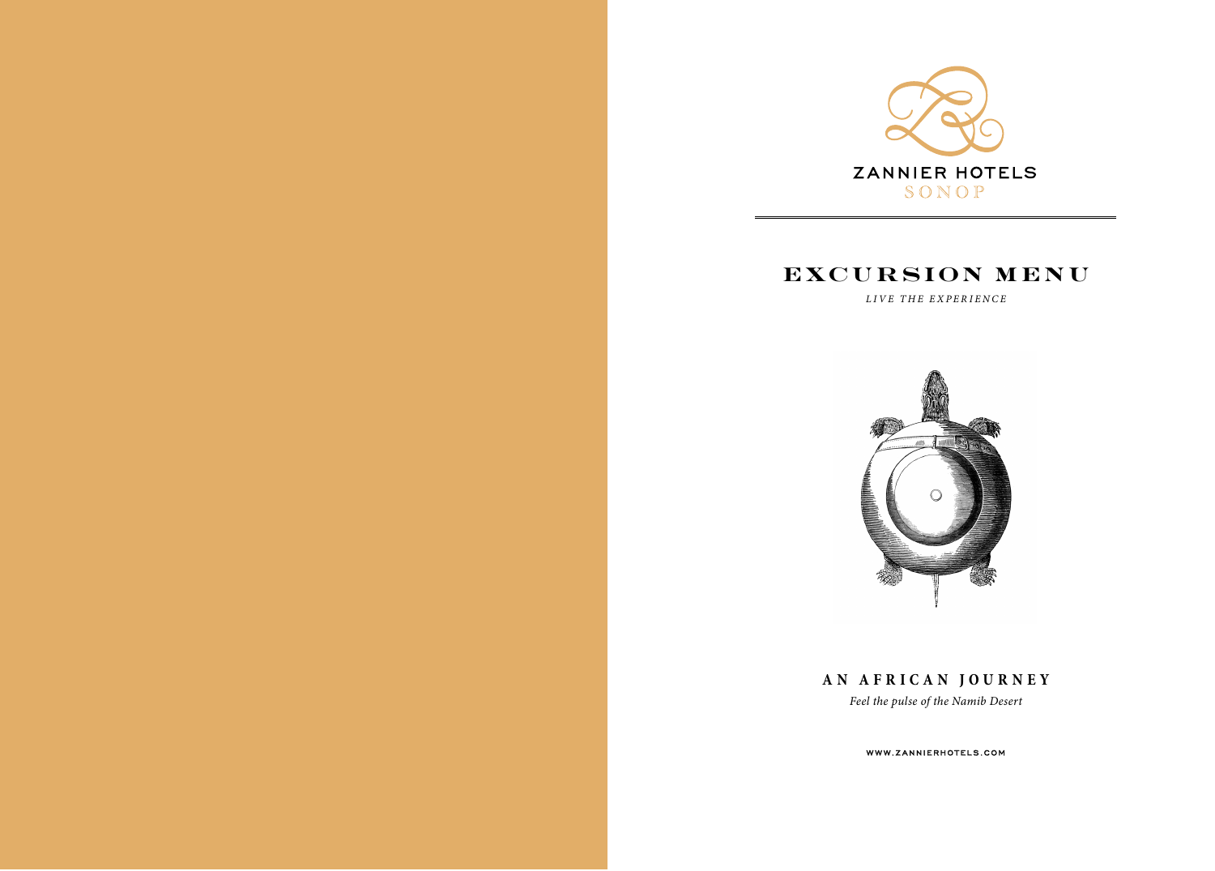

## **EXCURSION MENU**

*LIVE THE EXPERIENCE*



**AN AFRICAN JOURNEY**

*Feel the pulse of the Namib Desert*

WWW.ZANNIERHOTELS.COM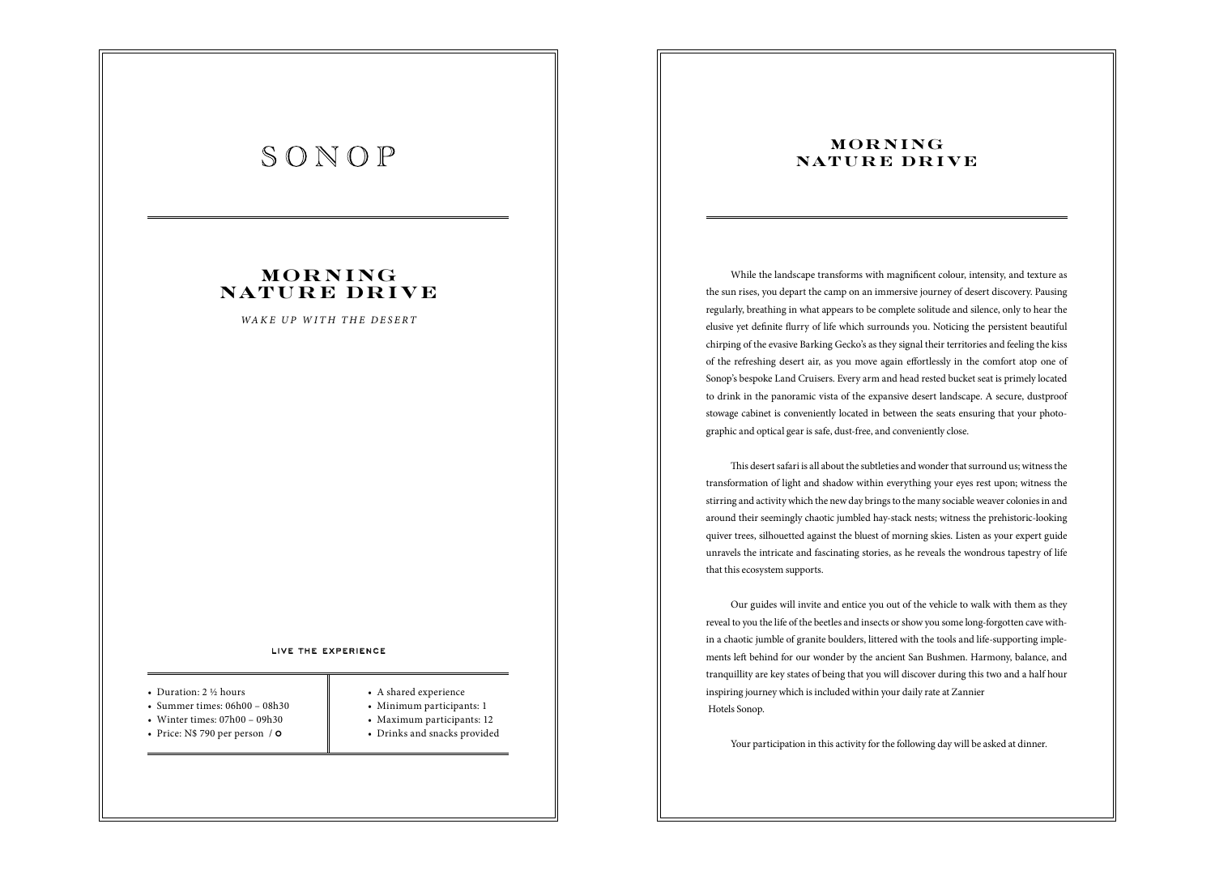## **MOR N I NG N AT U R E DR I V E**

*WAKE UP WITH THE DESERT*

#### LIVE THE EXPERIENCE

#### • Duration: 2 ½ hours

- Summer times:  $06h00 08h30$
- Winter times: 07h00 09h30
- Price:  $N$ 790 per person /  $\circ$$
- 
- A shared experience
- Minimum participants: 1
- Maximum participants: 12
- Drinks and snacks provided

## **MOR N I NG N AT U R E DR I V E**

While the landscape transforms with magnificent colour, intensity, and texture as the sun rises, you depart the camp on an immersive journey of desert discovery. Pausing regularly, breathing in what appears to be complete solitude and silence, only to hear the elusive yet definite flurry of life which surrounds you. Noticing the persistent beautiful chirping of the evasive Barking Gecko's as they signal their territories and feeling the kiss of the refreshing desert air, as you move again effortlessly in the comfort atop one of Sonop's bespoke Land Cruisers. Every arm and head rested bucket seat is primely located to drink in the panoramic vista of the expansive desert landscape. A secure, dustproof stowage cabinet is conveniently located in between the seats ensuring that your photographic and optical gear is safe, dust-free, and conveniently close.

This desert safari is all about the subtleties and wonder that surround us; witness the transformation of light and shadow within everything your eyes rest upon; witness the stirring and activity which the new day brings to the many sociable weaver colonies in and around their seemingly chaotic jumbled hay-stack nests; witness the prehistoric-looking quiver trees, silhouetted against the bluest of morning skies. Listen as your expert guide unravels the intricate and fascinating stories, as he reveals the wondrous tapestry of life that this ecosystem supports.

Our guides will invite and entice you out of the vehicle to walk with them as they reveal to you the life of the beetles and insects or show you some long-forgotten cave within a chaotic jumble of granite boulders, littered with the tools and life-supporting implements left behind for our wonder by the ancient San Bushmen. Harmony, balance, and tranquillity are key states of being that you will discover during this two and a half hour inspiring journey which is included within your daily rate at Zannier Hotels Sonop.

Your participation in this activity for the following day will be asked at dinner.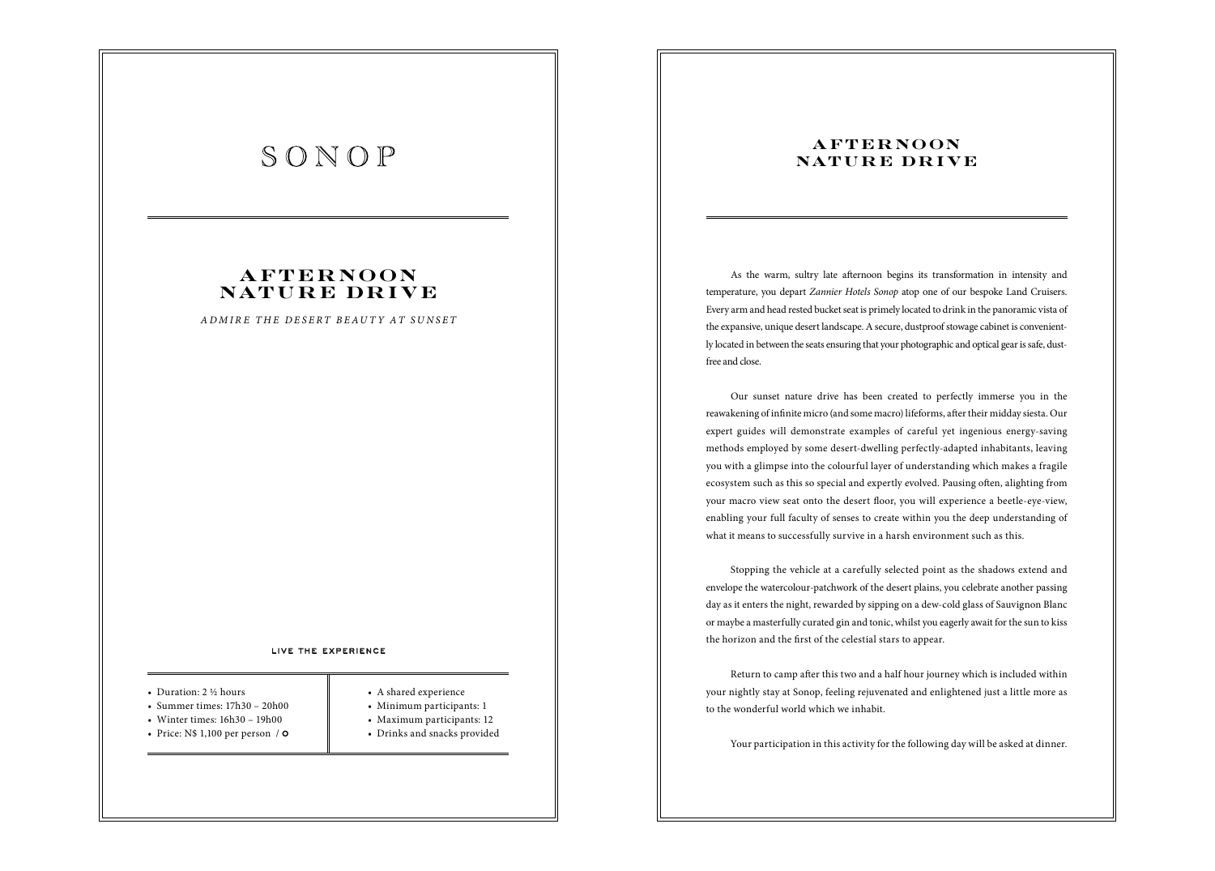## **A F T E R NO ON N AT U R E DR I V E**

*ADMIRE THE DESERT BEAUTY AT SUNSET*

#### LIVE THE EXPERIENCE

#### • Duration: 2 ½ hours

- Summer times:  $17h30 20h00$
- Winter times: 16h30 19h00
- Price:  $N$ 1,100$  per person /  $\circ$
- 
- A shared experience
- Minimum participants: 1
- Maximum participants: 12
- Drinks and snacks provided

## **AFTERNOON N AT U R E DR I V E**

As the warm, sultry late afternoon begins its transformation in intensity and temperature, you depart *Zannier Hotels Sonop* atop one of our bespoke Land Cruisers. Every arm and head rested bucket seat is primely located to drink in the panoramic vista of the expansive, unique desert landscape. A secure, dustproof stowage cabinet is conveniently located in between the seats ensuring that your photographic and optical gear is safe, dustfree and close.

Our sunset nature drive has been created to perfectly immerse you in the reawakening of infinite micro (and some macro) lifeforms, after their midday siesta. Our expert guides will demonstrate examples of careful yet ingenious energy-saving methods employed by some desert-dwelling perfectly-adapted inhabitants, leaving you with a glimpse into the colourful layer of understanding which makes a fragile ecosystem such as this so special and expertly evolved. Pausing often, alighting from your macro view seat onto the desert floor, you will experience a beetle-eye-view, enabling your full faculty of senses to create within you the deep understanding of what it means to successfully survive in a harsh environment such as this.

Stopping the vehicle at a carefully selected point as the shadows extend and envelope the watercolour-patchwork of the desert plains, you celebrate another passing day as it enters the night, rewarded by sipping on a dew-cold glass of Sauvignon Blanc or maybe a masterfully curated gin and tonic, whilst you eagerly await for the sun to kiss the horizon and the first of the celestial stars to appear.

Return to camp after this two and a half hour journey which is included within your nightly stay at Sonop, feeling rejuvenated and enlightened just a little more as to the wonderful world which we inhabit.

Your participation in this activity for the following day will be asked at dinner.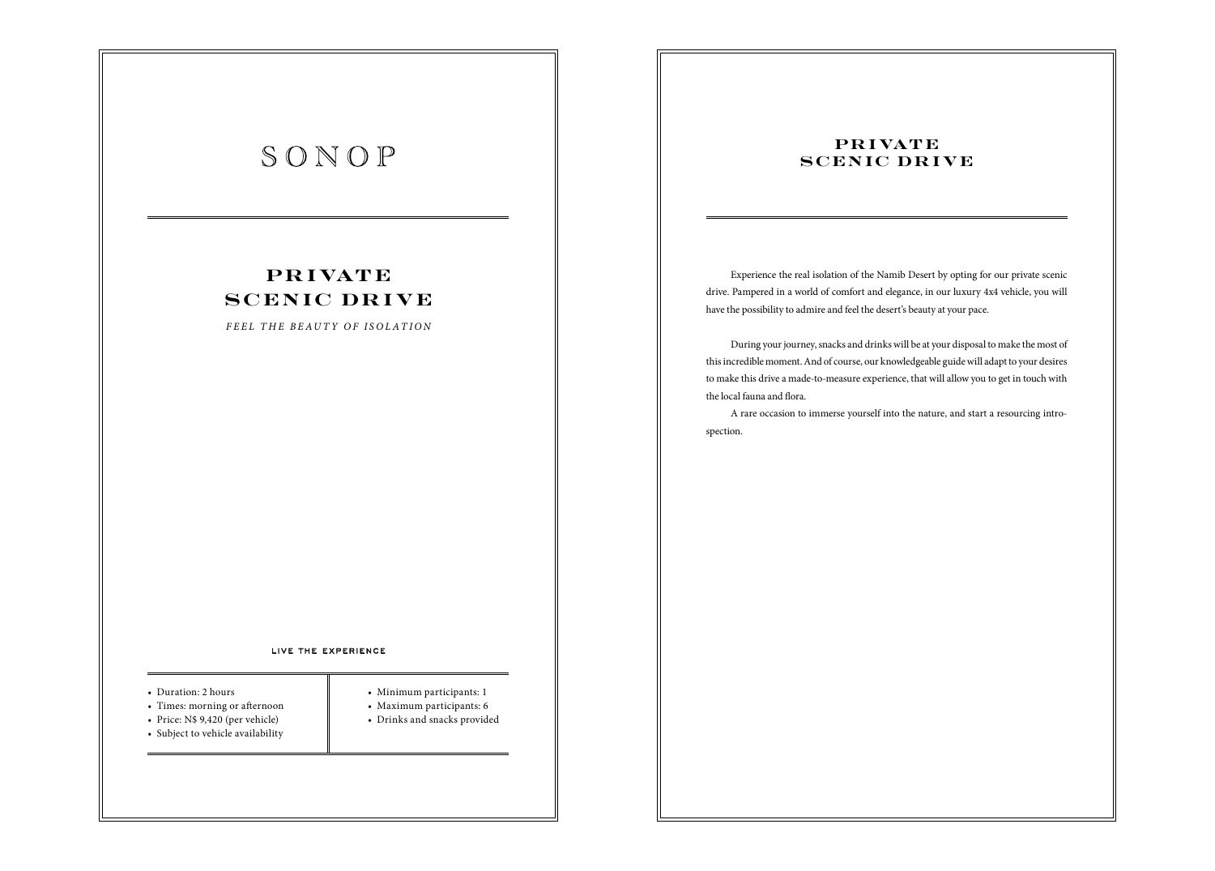## **P R I VAT E SCENIC DRIVE**

*FEEL THE BEAUTY OF ISOLATION*

#### LIVE THE EXPERIENCE

- Duration: 2 hours
- Times: morning or afternoon
- Price: N\$ 9,420 (per vehicle)
- Subject to vehicle availability
- 
- Minimum participants: 1
- Maximum participants: 6
- Drinks and snacks provided
- 

## **PR I VATE SCENIC DRIVE**

Experience the real isolation of the Namib Desert by opting for our private scenic drive. Pampered in a world of comfort and elegance, in our luxury 4x4 vehicle, you will have the possibility to admire and feel the desert's beauty at your pace.

During your journey, snacks and drinks will be at your disposal to make the most of this incredible moment. And of course, our knowledgeable guide will adapt to your desires to make this drive a made-to-measure experience, that will allow you to get in touch with the local fauna and flora.

A rare occasion to immerse yourself into the nature, and start a resourcing introspection.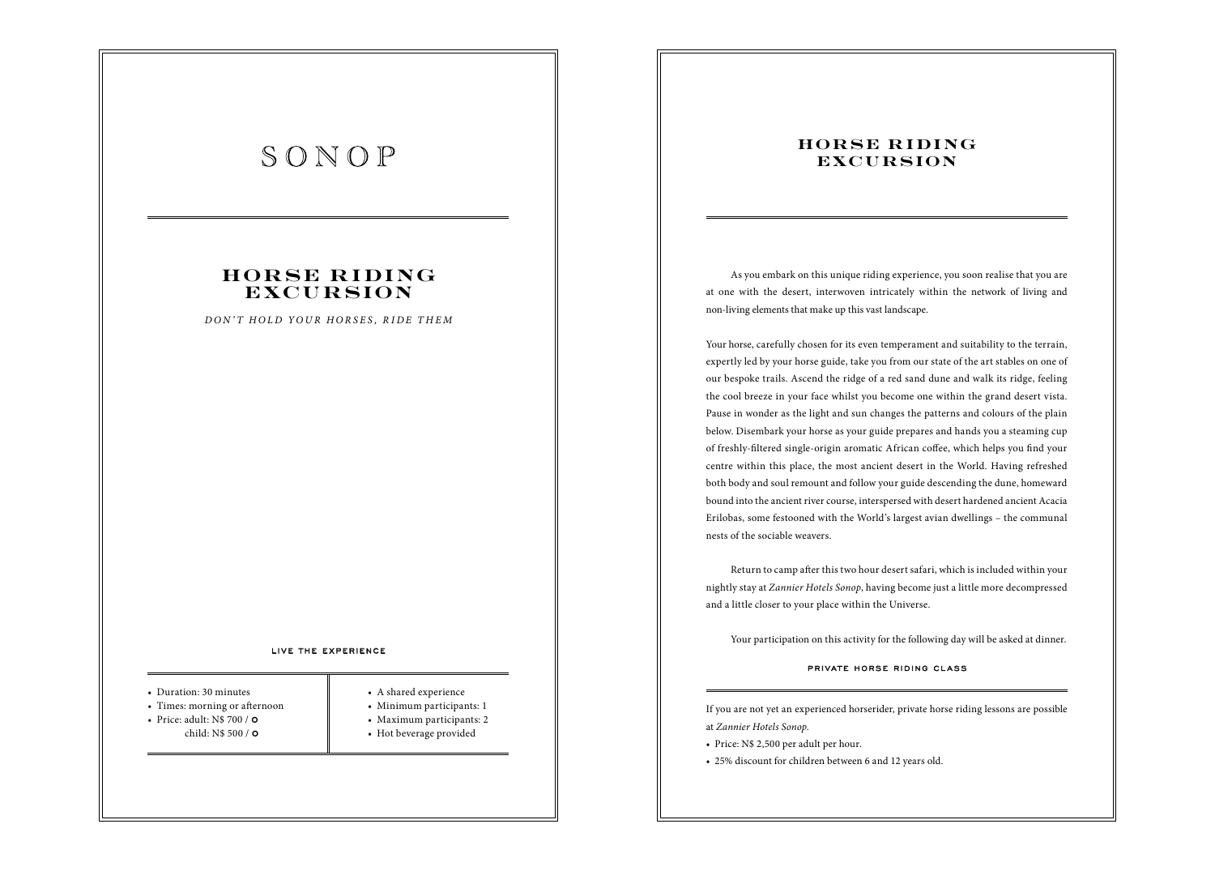## **HORSE RIDING EXCURSION**

*DON'T HOLD YOUR HORSES, RIDE THEM*

#### LIVE THE EXPERIENCE

- Duration: 30 minutes
- Times: morning or afternoon
- Price: adult: N\$ 700 /  $\circ$ child: N\$ 500 / **0**
- 
- A shared experience
	- Minimum participants: 1
	- Maximum participants: 2
	- Hot beverage provided

### **HORSE RIDING EXCURSION**

As you embark on this unique riding experience, you soon realise that you are at one with the desert, interwoven intricately within the network of living and non-living elements that make up this vast landscape.

Your horse, carefully chosen for its even temperament and suitability to the terrain, expertly led by your horse guide, take you from our state of the art stables on one of our bespoke trails. Ascend the ridge of a red sand dune and walk its ridge, feeling the cool breeze in your face whilst you become one within the grand desert vista. Pause in wonder as the light and sun changes the patterns and colours of the plain below. Disembark your horse as your guide prepares and hands you a steaming cup of freshly-filtered single-origin aromatic African coffee, which helps you find your centre within this place, the most ancient desert in the World. Having refreshed both body and soul remount and follow your guide descending the dune, homeward bound into the ancient river course, interspersed with desert hardened ancient Acacia Erilobas, some festooned with the World's largest avian dwellings – the communal nests of the sociable weavers.

Return to camp after this two hour desert safari, which is included within your nightly stay at *Zannier Hotels Sonop*, having become just a little more decompressed and a little closer to your place within the Universe.

Your participation on this activity for the following day will be asked at dinner.

### PRIVATE HORSE RIDING CLASS

If you are not yet an experienced horserider, private horse riding lessons are possible at *Zannier Hotels Sonop*.

- Price: N\$ 2,500 per adult per hour.
- 25% discount for children between 6 and 12 years old.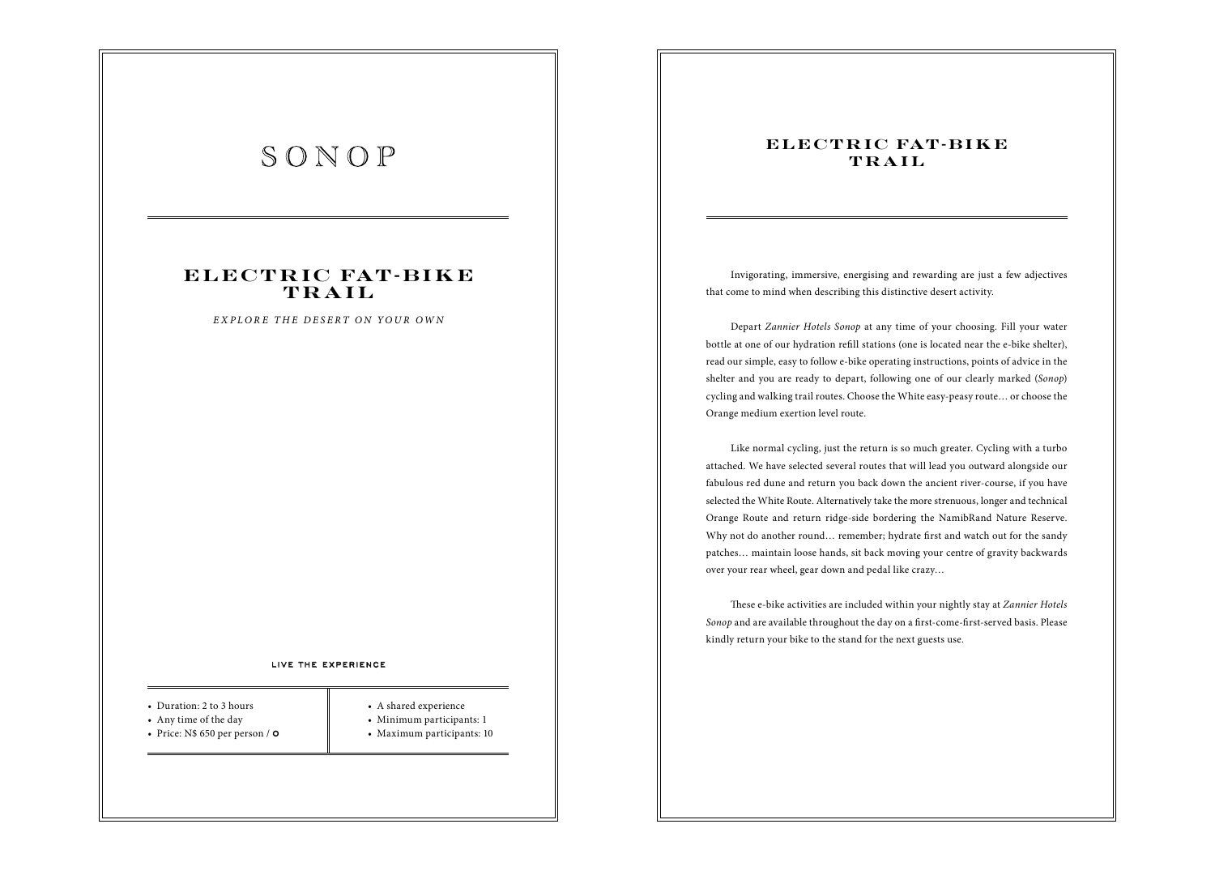## **E L E C T R IC FAT - B I K E TRAIL**

*EXPLORE THE DESERT ON YOUR OWN*

### LIVE THE EXPERIENCE

- Duration: 2 to 3 hours
- Any time of the day
- Price:  $N$650 per person /  $\circ$$
- A shared experience
- Minimum participants: 1
- Maximum participants: 10

## **ELECTRIC FAT-BIKE TRAIL**

Invigorating, immersive, energising and rewarding are just a few adjectives that come to mind when describing this distinctive desert activity.

Depart *Zannier Hotels Sonop* at any time of your choosing. Fill your water bottle at one of our hydration refill stations (one is located near the e-bike shelter), read our simple, easy to follow e-bike operating instructions, points of advice in the shelter and you are ready to depart, following one of our clearly marked (*Sonop*) cycling and walking trail routes. Choose the White easy-peasy route… or choose the Orange medium exertion level route.

Like normal cycling, just the return is so much greater. Cycling with a turbo attached. We have selected several routes that will lead you outward alongside our fabulous red dune and return you back down the ancient river-course, if you have selected the White Route. Alternatively take the more strenuous, longer and technical Orange Route and return ridge-side bordering the NamibRand Nature Reserve. Why not do another round... remember; hydrate first and watch out for the sandy patches… maintain loose hands, sit back moving your centre of gravity backwards over your rear wheel, gear down and pedal like crazy…

\$ese e-bike activities are included within your nightly stay at *Zannier Hotels Sonop* and are available throughout the day on a first-come-first-served basis. Please kindly return your bike to the stand for the next guests use.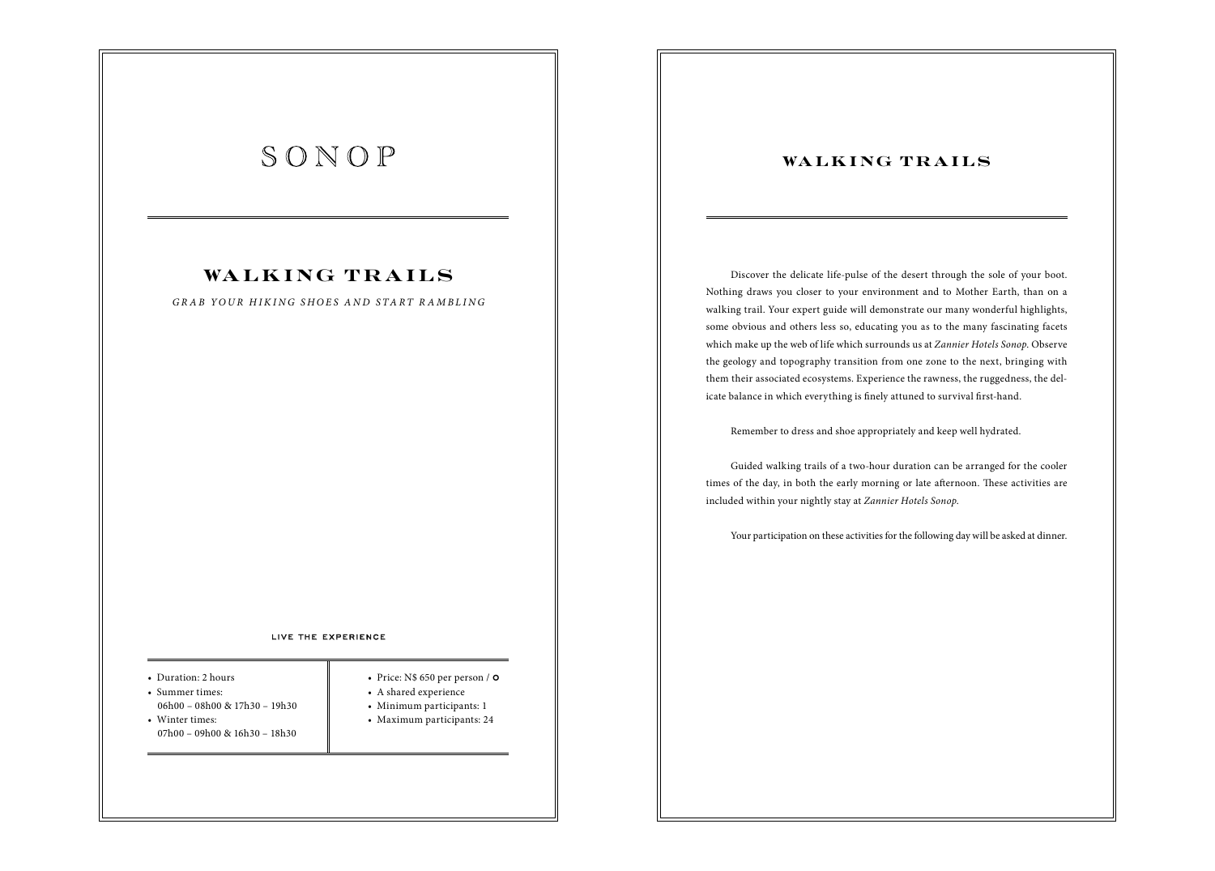## WALKING TRAILS

*GRAB YOUR HIKING SHOES AND START RAMBLING*

### LIVE THE EXPERIENCE

• Duration: 2 hours

- Summer times: 06h00 – 08h00 & 17h30 – 19h30
- Winter times: 07h00 – 09h00 & 16h30 – 18h30
- Price:  $N$650 per person /  $\circ$$
- A shared experience
- Minimum participants: 1
- Maximum participants: 24

## **WALKING TRAILS**

Discover the delicate life-pulse of the desert through the sole of your boot. Nothing draws you closer to your environment and to Mother Earth, than on a walking trail. Your expert guide will demonstrate our many wonderful highlights, some obvious and others less so, educating you as to the many fascinating facets which make up the web of life which surrounds us at *Zannier Hotels Sonop*. Observe the geology and topography transition from one zone to the next, bringing with them their associated ecosystems. Experience the rawness, the ruggedness, the delicate balance in which everything is finely attuned to survival first-hand.

Remember to dress and shoe appropriately and keep well hydrated.

Guided walking trails of a two-hour duration can be arranged for the cooler times of the day, in both the early morning or late afternoon. These activities are included within your nightly stay at *Zannier Hotels Sonop*.

Your participation on these activities for the following day will be asked at dinner.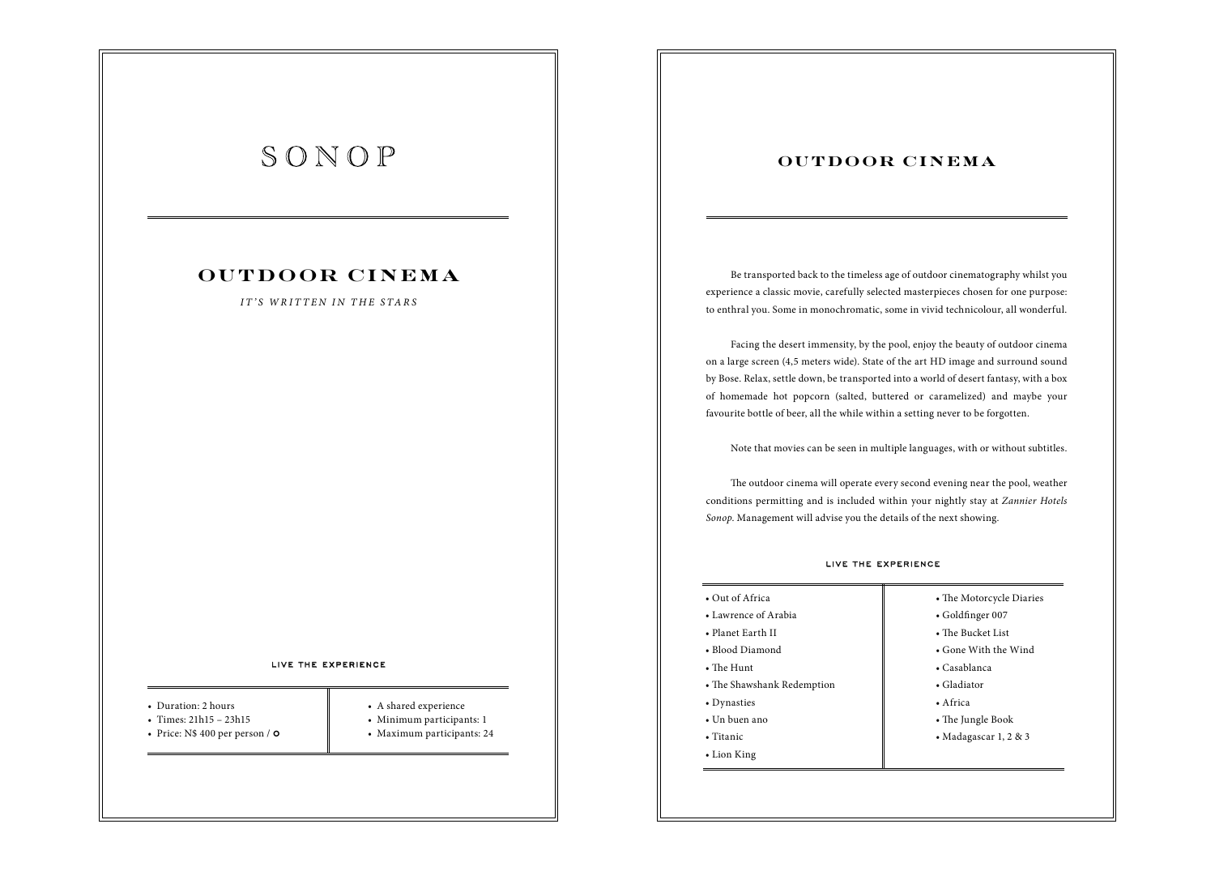## **OUTDOOR CINEMA**

### *IT'S WRITTEN IN THE STARS*

### LIVE THE EXPERIENCE

- Duration: 2 hours
- Times: 21h15 23h15
- Price:  $N$ 400$  per person /  $\circ$
- A shared experience
- Minimum participants: 1
- Maximum participants: 24

### **OUTDOOR CINEMA**

Be transported back to the timeless age of outdoor cinematography whilst you experience a classic movie, carefully selected masterpieces chosen for one purpose: to enthral you. Some in monochromatic, some in vivid technicolour, all wonderful.

Facing the desert immensity, by the pool, enjoy the beauty of outdoor cinema on a large screen (4,5 meters wide). State of the art HD image and surround sound by Bose. Relax, settle down, be transported into a world of desert fantasy, with a box of homemade hot popcorn (salted, buttered or caramelized) and maybe your favourite bottle of beer, all the while within a setting never to be forgotten.

Note that movies can be seen in multiple languages, with or without subtitles.

The outdoor cinema will operate every second evening near the pool, weather conditions permitting and is included within your nightly stay at *Zannier Hotels Sonop*. Management will advise you the details of the next showing.

| • Out of Africa              | • The Motorcycle Diaries  |  |  |
|------------------------------|---------------------------|--|--|
| $\bullet$ Lawrence of Arabia | $\bullet$ Goldfinger 007  |  |  |
| • Planet Earth II            | $\bullet$ The Bucket List |  |  |
| • Blood Diamond              | • Gone With the Wind      |  |  |
| $\bullet$ The Hunt           | $\bullet$ Casablanca      |  |  |
| • The Shawshank Redemption   | • Gladiator               |  |  |
| • Dynasties                  | • Africa                  |  |  |
| • Un buen ano                | • The Jungle Book         |  |  |
| $\bullet$ Titanic            | • Madagascar 1, 2 & 3     |  |  |
| • Lion King                  |                           |  |  |
|                              |                           |  |  |

### LIVE THE EXPERIENCE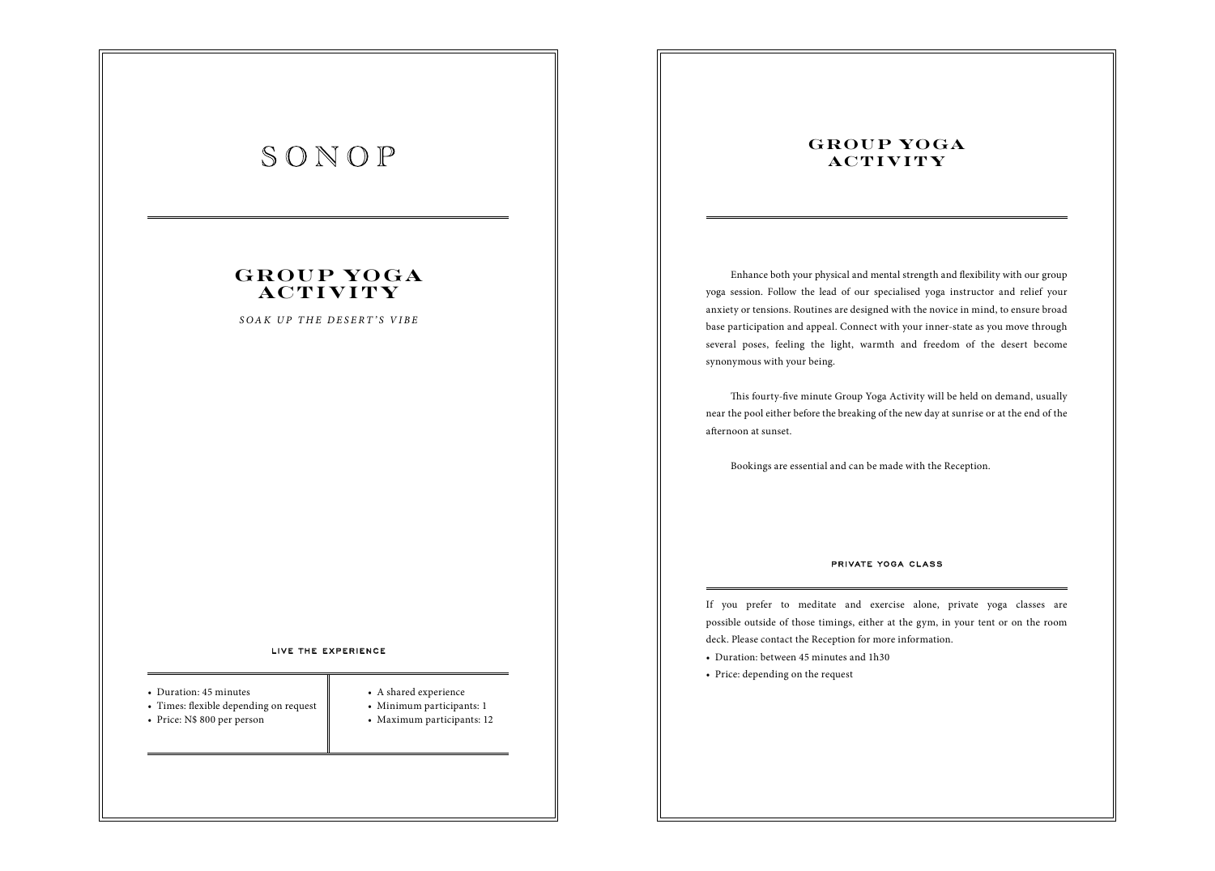## **GROUP YOGA AC T I V I T Y**

*SOAK UP THE DESERT'S VIBE*

#### LIVE THE EXPERIENCE

- Duration: 45 minutes
- Times: flexible depending on request
- Price: N\$ 800 per person
- 
- A shared experience
- Minimum participants: 1
- Maximum participants: 12

## **GROUP YOGA AC T I V I T Y**

Enhance both your physical and mental strength and flexibility with our group yoga session. Follow the lead of our specialised yoga instructor and relief your anxiety or tensions. Routines are designed with the novice in mind, to ensure broad base participation and appeal. Connect with your inner-state as you move through several poses, feeling the light, warmth and freedom of the desert become synonymous with your being.

This fourty-five minute Group Yoga Activity will be held on demand, usually near the pool either before the breaking of the new day at sunrise or at the end of the afternoon at sunset.

Bookings are essential and can be made with the Reception.

### PRIVATE YOGA CLASS

If you prefer to meditate and exercise alone, private yoga classes are possible outside of those timings, either at the gym, in your tent or on the room deck. Please contact the Reception for more information.

- Duration: between 45 minutes and 1h30
- Price: depending on the request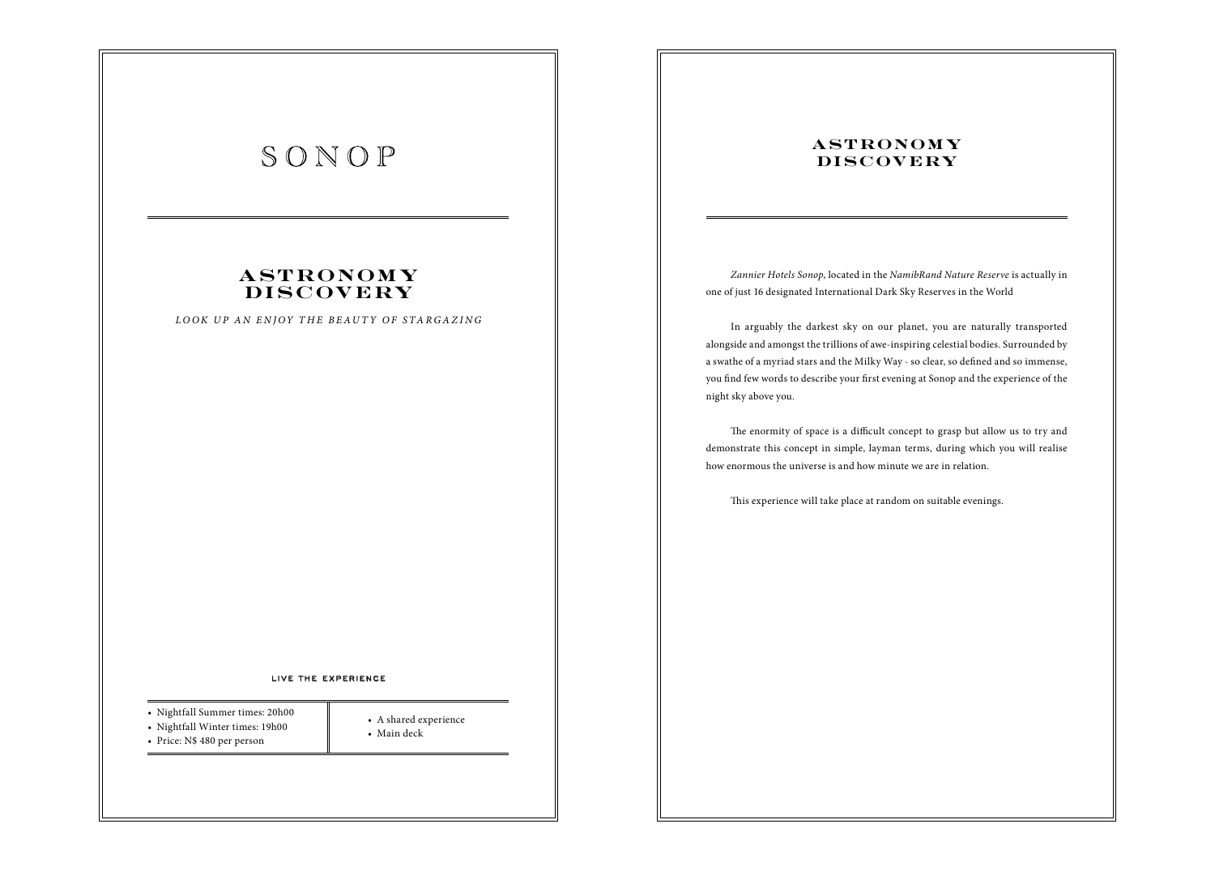## **A ST RONOM Y DI S C OV E RY**

*LOOK UP AN ENJOY THE BEAUTY OF STARGAZING*

### LIVE THE EXPERIENCE

• A shared experience

• Main deck

- Nightfall Summer times: 20h00
- Nightfall Winter times: 19h00 • Price: N\$ 480 per person
	-

## **ASTRONOMY DISCOVERY**

*Zannier Hotels Sonop*, located in the *NamibRand Nature Reserve* is actually in one of just 16 designated International Dark Sky Reserves in the World

In arguably the darkest sky on our planet, you are naturally transported alongside and amongst the trillions of awe-inspiring celestial bodies. Surrounded by a swathe of a myriad stars and the Milky Way - so clear, so defined and so immense, you find few words to describe your first evening at Sonop and the experience of the night sky above you.

The enormity of space is a difficult concept to grasp but allow us to try and demonstrate this concept in simple, layman terms, during which you will realise how enormous the universe is and how minute we are in relation.

This experience will take place at random on suitable evenings.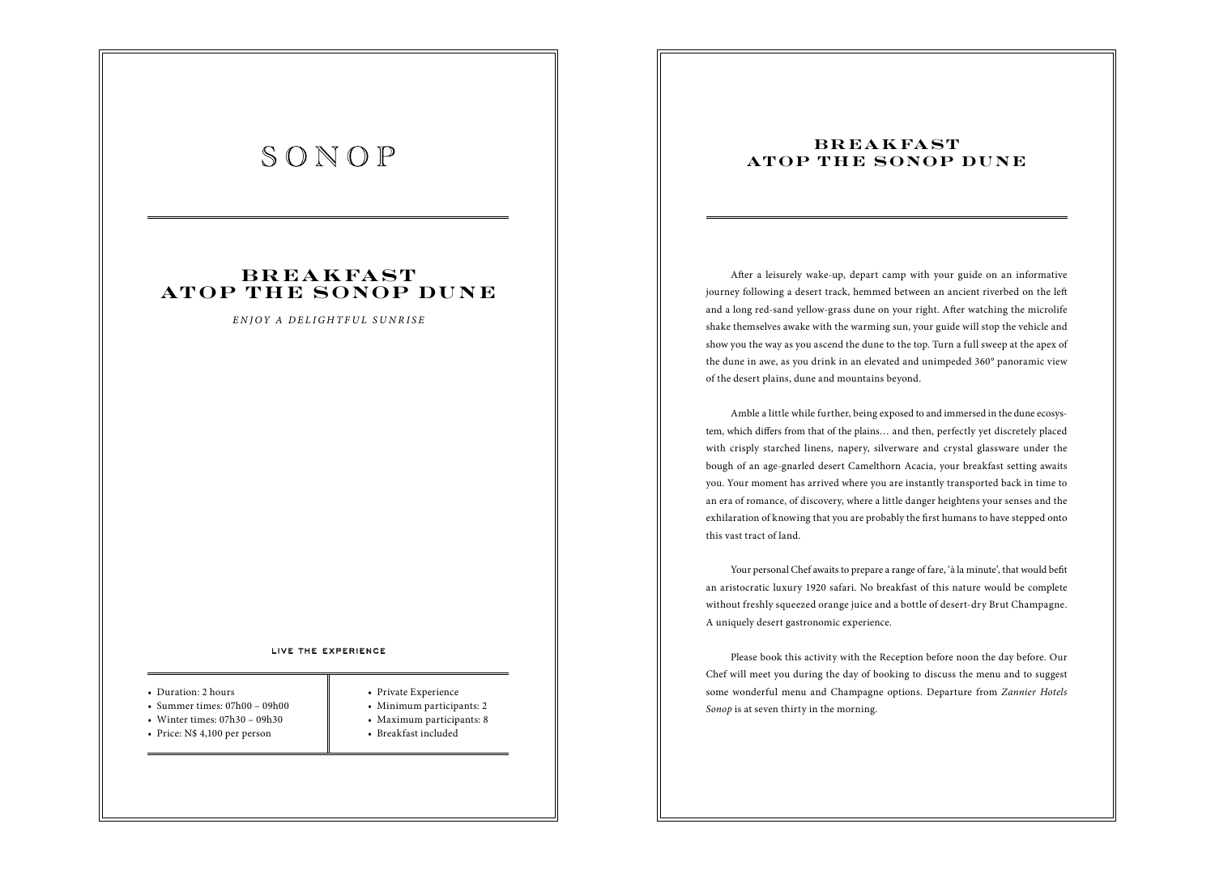## **B R E A K FA ST ATOP THE SONOP DUNE**

*ENJOY A DELIGHTFUL SUNRISE*

#### LIVE THE EXPERIENCE

#### • Duration: 2 hours

- Summer times:  $07h00 09h00$
- Winter times: 07h30 09h30
- Price: N\$ 4,100 per person
- 
- Private Experience
- Minimum participants: 2
- Maximum participants: 8
- Breakfast included

## **B R E A K FA ST ATOP THE SONOP DUNE**

After a leisurely wake-up, depart camp with your guide on an informative journey following a desert track, hemmed between an ancient riverbed on the left and a long red-sand yellow-grass dune on your right. After watching the microlife shake themselves awake with the warming sun, your guide will stop the vehicle and show you the way as you ascend the dune to the top. Turn a full sweep at the apex of the dune in awe, as you drink in an elevated and unimpeded 360° panoramic view of the desert plains, dune and mountains beyond.

Amble a little while further, being exposed to and immersed in the dune ecosystem, which differs from that of the plains... and then, perfectly yet discretely placed with crisply starched linens, napery, silverware and crystal glassware under the bough of an age-gnarled desert Camelthorn Acacia, your breakfast setting awaits you. Your moment has arrived where you are instantly transported back in time to an era of romance, of discovery, where a little danger heightens your senses and the exhilaration of knowing that you are probably the first humans to have stepped onto this vast tract of land.

Your personal Chef awaits to prepare a range of fare, 'à la minute', that would befit an aristocratic luxury 1920 safari. No breakfast of this nature would be complete without freshly squeezed orange juice and a bottle of desert-dry Brut Champagne. A uniquely desert gastronomic experience.

Please book this activity with the Reception before noon the day before. Our Chef will meet you during the day of booking to discuss the menu and to suggest some wonderful menu and Champagne options. Departure from *Zannier Hotels Sonop* is at seven thirty in the morning.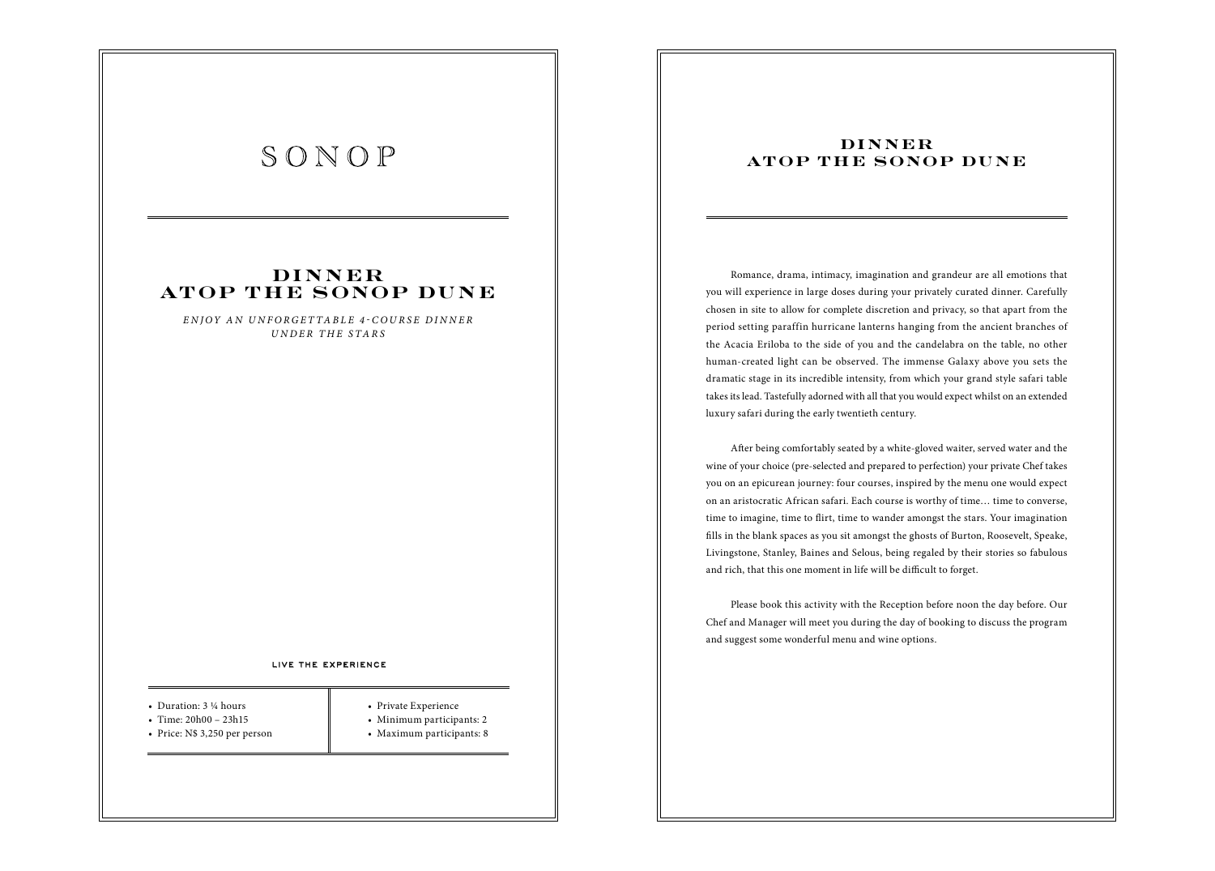## **DI N N E R ATOP THE SONOP DUNE**

*ENJOY AN UNFORGETTABLE 4-COURSE DINNER UNDER THE STARS*

### LIVE THE EXPERIENCE

- Duration: 3 ¼ hours
- Time: 20h00 23h15
- Price: N\$ 3,250 per person
- Private Experience
- Minimum participants: 2
- Maximum participants: 8

## **DINNER ATOP THE SONOP DUNE**

Romance, drama, intimacy, imagination and grandeur are all emotions that you will experience in large doses during your privately curated dinner. Carefully chosen in site to allow for complete discretion and privacy, so that apart from the period setting paraffin hurricane lanterns hanging from the ancient branches of the Acacia Eriloba to the side of you and the candelabra on the table, no other human-created light can be observed. The immense Galaxy above you sets the dramatic stage in its incredible intensity, from which your grand style safari table takes its lead. Tastefully adorned with all that you would expect whilst on an extended luxury safari during the early twentieth century.

After being comfortably seated by a white-gloved waiter, served water and the wine of your choice (pre-selected and prepared to perfection) your private Chef takes you on an epicurean journey: four courses, inspired by the menu one would expect on an aristocratic African safari. Each course is worthy of time… time to converse, time to imagine, time to flirt, time to wander amongst the stars. Your imagination fills in the blank spaces as you sit amongst the ghosts of Burton, Roosevelt, Speake, Livingstone, Stanley, Baines and Selous, being regaled by their stories so fabulous and rich, that this one moment in life will be difficult to forget.

Please book this activity with the Reception before noon the day before. Our Chef and Manager will meet you during the day of booking to discuss the program and suggest some wonderful menu and wine options.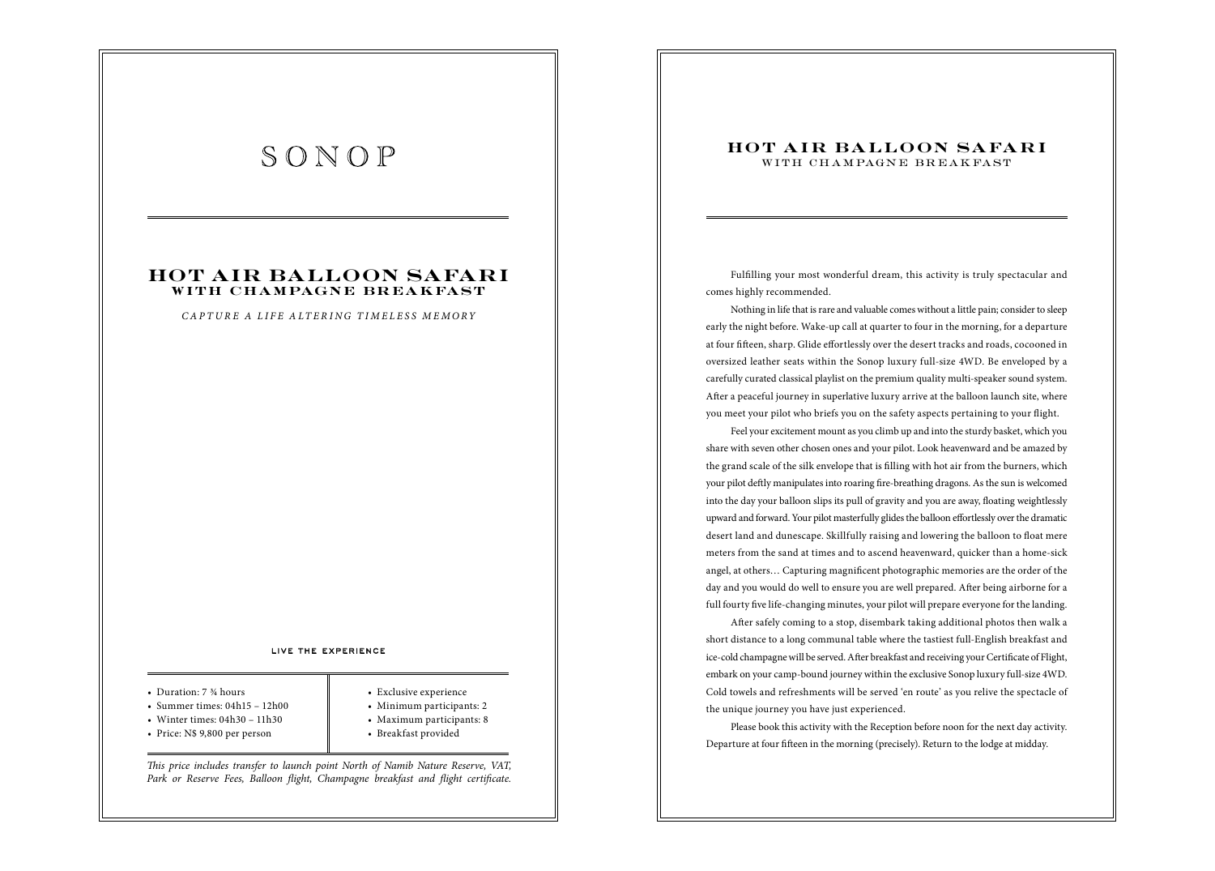### **HOT AIR BALLOON SAFARI with cha mpagne brea kfast**

*CAPTURE A LIFE ALTERING TIMELESS MEMORY*

#### LIVE THE EXPERIENCE

- Duration: 7  $\frac{3}{4}$  hours
- Summer times:  $04h15 12h00$
- Winter times: 04h30 11h30
- Price: N\$ 9,800 per person
- Exclusive experience
- Minimum participants: 2
- Maximum participants: 8
- Breakfast provided

!*is price includes transfer to launch point North of Namib Nature Reserve, VAT, Park or Reserve Fees, Balloon flight, Champagne breakfast and flight certificate.* 

### **HOT AIR BALLOON SAFARI** WITH CHAMPAGNE BREAKFAST

Fulfilling your most wonderful dream, this activity is truly spectacular and comes highly recommended.

Nothing in life that is rare and valuable comes without a little pain; consider to sleep early the night before. Wake-up call at quarter to four in the morning, for a departure at four fifteen, sharp. Glide effortlessly over the desert tracks and roads, cocooned in oversized leather seats within the Sonop luxury full-size 4WD. Be enveloped by a carefully curated classical playlist on the premium quality multi-speaker sound system. After a peaceful journey in superlative luxury arrive at the balloon launch site, where you meet your pilot who briefs you on the safety aspects pertaining to your flight.

Feel your excitement mount as you climb up and into the sturdy basket, which you share with seven other chosen ones and your pilot. Look heavenward and be amazed by the grand scale of the silk envelope that is filling with hot air from the burners, which your pilot deftly manipulates into roaring fire-breathing dragons. As the sun is welcomed into the day your balloon slips its pull of gravity and you are away, floating weightlessly upward and forward. Your pilot masterfully glides the balloon effortlessly over the dramatic desert land and dunescape. Skillfully raising and lowering the balloon to float mere meters from the sand at times and to ascend heavenward, quicker than a home-sick angel, at others... Capturing magnificent photographic memories are the order of the day and you would do well to ensure you are well prepared. After being airborne for a full fourty five life-changing minutes, your pilot will prepare everyone for the landing.

After safely coming to a stop, disembark taking additional photos then walk a short distance to a long communal table where the tastiest full-English breakfast and ice-cold champagne will be served. After breakfast and receiving your Certificate of Flight, embark on your camp-bound journey within the exclusive Sonop luxury full-size 4WD. Cold towels and refreshments will be served 'en route' as you relive the spectacle of the unique journey you have just experienced.

Please book this activity with the Reception before noon for the next day activity. Departure at four fifteen in the morning (precisely). Return to the lodge at midday.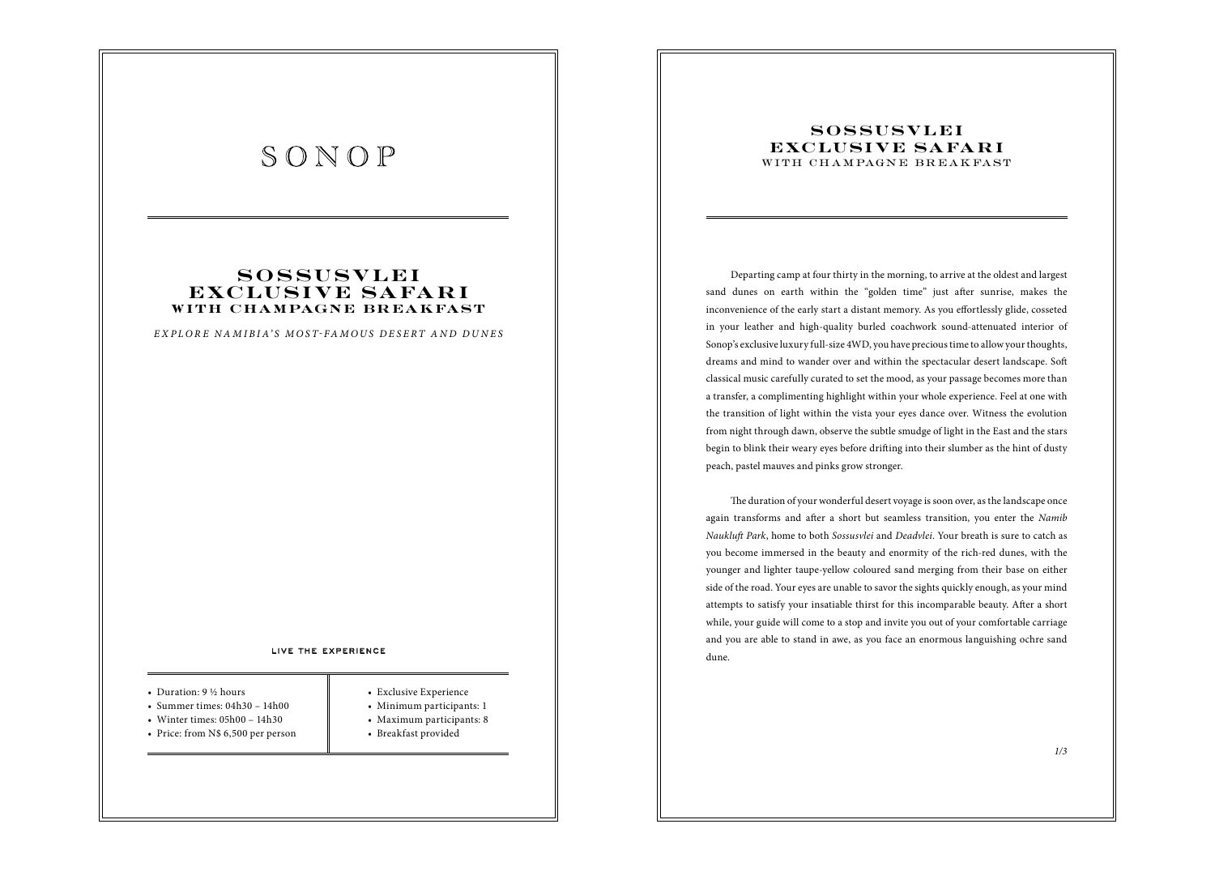### **S O S SU S V L E I EXCLUSIVE SAFARI with cha mpagne brea kfast**

*EXPLOR E NAMIBIA'S MOST FAMOUS DESERT AND DUNES*

#### LIVE THE EXPERIENCE

### • Duration: 9 ½ hours

- Summer times:  $04h30 14h00$
- Winter times: 05h00 14h30
- Price: from N\$ 6,500 per person
- 
- Exclusive Experience
	- Minimum participants: 1
	- Maximum participants: 8
- Breakfast provided

### **SOSSUSVLEI EXCLUSIVE SAFARI** WITH CHAMPAGNE BREAKFAST

Departing camp at four thirty in the morning, to arrive at the oldest and largest sand dunes on earth within the "golden time" just after sunrise, makes the inconvenience of the early start a distant memory. As you effortlessly glide, cosseted in your leather and high-quality burled coachwork sound-attenuated interior of Sonop's exclusive luxury full-size 4WD, you have precious time to allow your thoughts, dreams and mind to wander over and within the spectacular desert landscape. Soft classical music carefully curated to set the mood, as your passage becomes more than a transfer, a complimenting highlight within your whole experience. Feel at one with the transition of light within the vista your eyes dance over. Witness the evolution from night through dawn, observe the subtle smudge of light in the East and the stars begin to blink their weary eyes before drifting into their slumber as the hint of dusty peach, pastel mauves and pinks grow stronger.

The duration of your wonderful desert voyage is soon over, as the landscape once again transforms and after a short but seamless transition, you enter the *Namib Nauklu*\$ *Park*, home to both *Sossusvlei* and *Deadvlei*. Your breath is sure to catch as you become immersed in the beauty and enormity of the rich-red dunes, with the younger and lighter taupe-yellow coloured sand merging from their base on either side of the road. Your eyes are unable to savor the sights quickly enough, as your mind attempts to satisfy your insatiable thirst for this incomparable beauty. After a short while, your guide will come to a stop and invite you out of your comfortable carriage and you are able to stand in awe, as you face an enormous languishing ochre sand dune.

*1/3*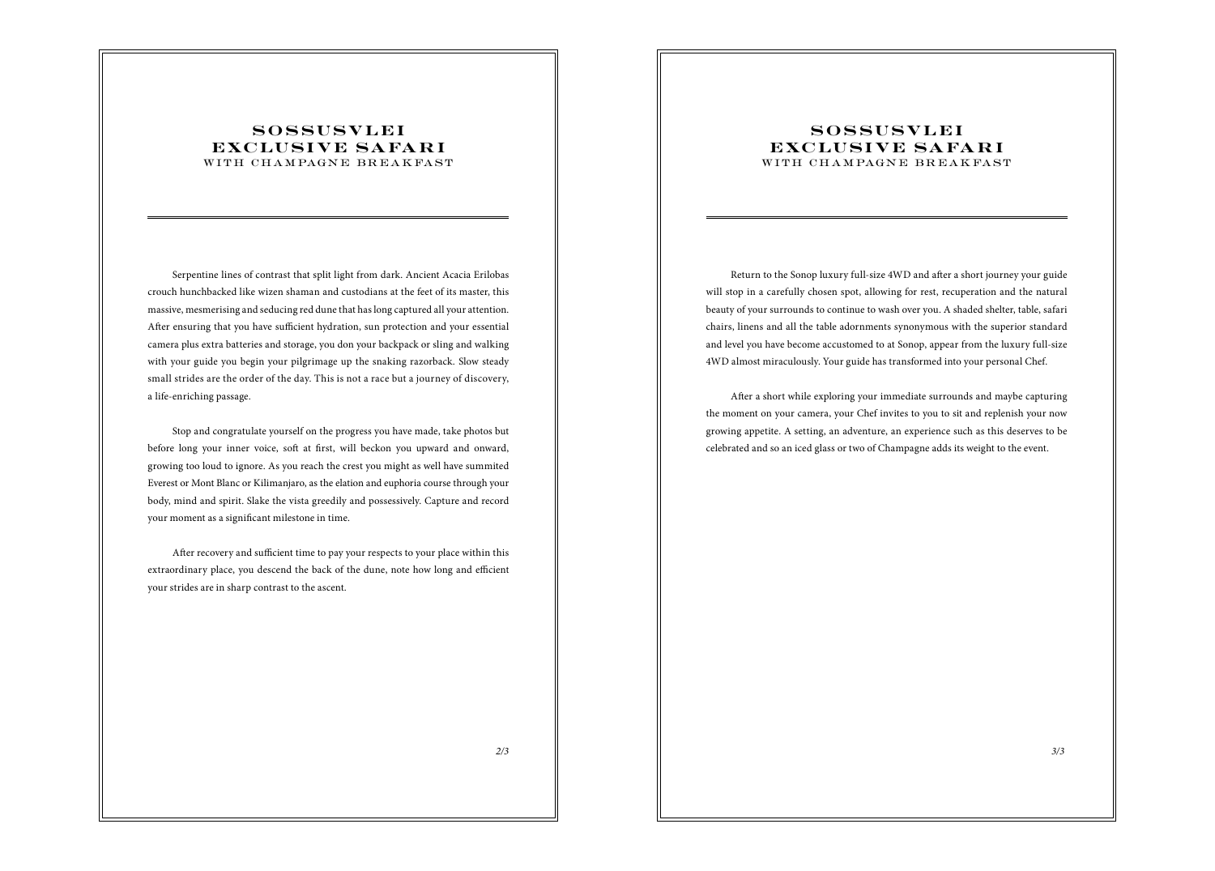### **SOSSUSVLEI EXCLUSIVE SAFARI** WITH CHAMPAGNE BREAKFAST

Serpentine lines of contrast that split light from dark. Ancient Acacia Erilobas crouch hunchbacked like wizen shaman and custodians at the feet of its master, this massive, mesmerising and seducing red dune that has long captured all your attention. After ensuring that you have sufficient hydration, sun protection and your essential camera plus extra batteries and storage, you don your backpack or sling and walking with your guide you begin your pilgrimage up the snaking razorback. Slow steady small strides are the order of the day. This is not a race but a journey of discovery, a life-enriching passage.

Stop and congratulate yourself on the progress you have made, take photos but before long your inner voice, soft at first, will beckon you upward and onward, growing too loud to ignore. As you reach the crest you might as well have summited Everest or Mont Blanc or Kilimanjaro, as the elation and euphoria course through your body, mind and spirit. Slake the vista greedily and possessively. Capture and record your moment as a significant milestone in time.

After recovery and sufficient time to pay your respects to your place within this extraordinary place, you descend the back of the dune, note how long and efficient your strides are in sharp contrast to the ascent.

### **SOSSUSVLEI EXCLUSIVE SAFARI** WITH CHAMPAGNE BREAKFAST

Return to the Sonop luxury full-size 4WD and after a short journey your guide will stop in a carefully chosen spot, allowing for rest, recuperation and the natural beauty of your surrounds to continue to wash over you. A shaded shelter, table, safari chairs, linens and all the table adornments synonymous with the superior standard and level you have become accustomed to at Sonop, appear from the luxury full-size 4WD almost miraculously. Your guide has transformed into your personal Chef.

After a short while exploring your immediate surrounds and maybe capturing the moment on your camera, your Chef invites to you to sit and replenish your now growing appetite. A setting, an adventure, an experience such as this deserves to be celebrated and so an iced glass or two of Champagne adds its weight to the event.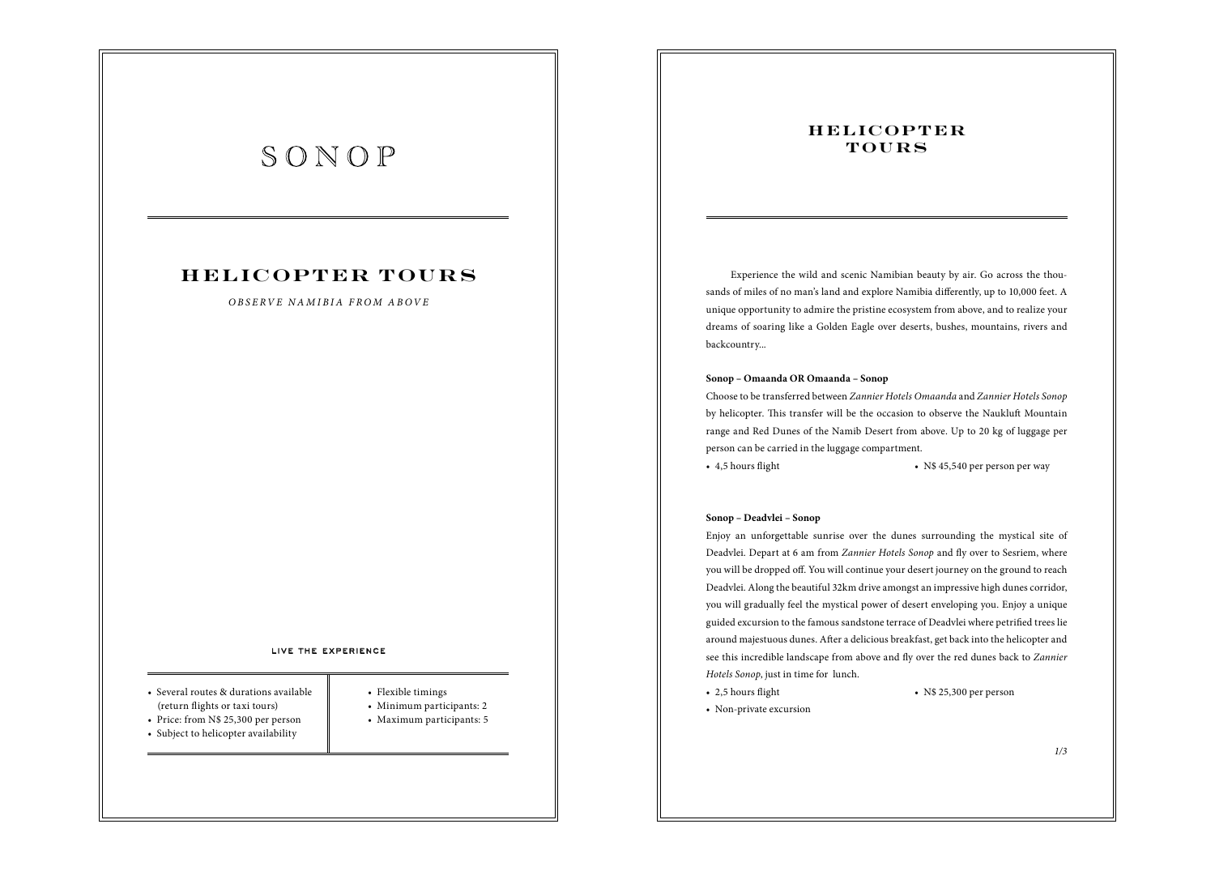## **HELICOPTER TOURS**

### *OBSERVE NAMIBIA FROM ABOVE*

#### LIVE THE EXPERIENCE

- Several routes & durations available (return flights or taxi tours)
- Price: from N\$ 25,300 per person
- Flexible timings
- Minimum participants: 2
- Maximum participants: 5
- Subject to helicopter availability
- 
- 

### **H E L IC OP T E R TOURS**

Experience the wild and scenic Namibian beauty by air. Go across the thousands of miles of no man's land and explore Namibia differently, up to 10,000 feet. A unique opportunity to admire the pristine ecosystem from above, and to realize your dreams of soaring like a Golden Eagle over deserts, bushes, mountains, rivers and backcountry...

### **Sonop – Omaanda OR Omaanda – Sonop**

Choose to be transferred between *Zannier Hotels Omaanda* and *Zannier Hotels Sonop* by helicopter. This transfer will be the occasion to observe the Naukluft Mountain range and Red Dunes of the Namib Desert from above. Up to 20 kg of luggage per person can be carried in the luggage compartment.

• 4,5 hours flight • N\$ 45,540 per person per way

### **Sonop – Deadvlei – Sonop**

Enjoy an unforgettable sunrise over the dunes surrounding the mystical site of Deadvlei. Depart at 6 am from *Zannier Hotels Sonop* and fly over to Sesriem, where you will be dropped off. You will continue your desert journey on the ground to reach Deadvlei. Along the beautiful 32km drive amongst an impressive high dunes corridor, you will gradually feel the mystical power of desert enveloping you. Enjoy a unique guided excursion to the famous sandstone terrace of Deadvlei where petrified trees lie around majestuous dunes. After a delicious breakfast, get back into the helicopter and see this incredible landscape from above and fly over the red dunes back to *Zannier Hotels Sonop*, just in time for lunch.

• 2,5 hours flight • N\$ 25,300 per person

• Non-private excursion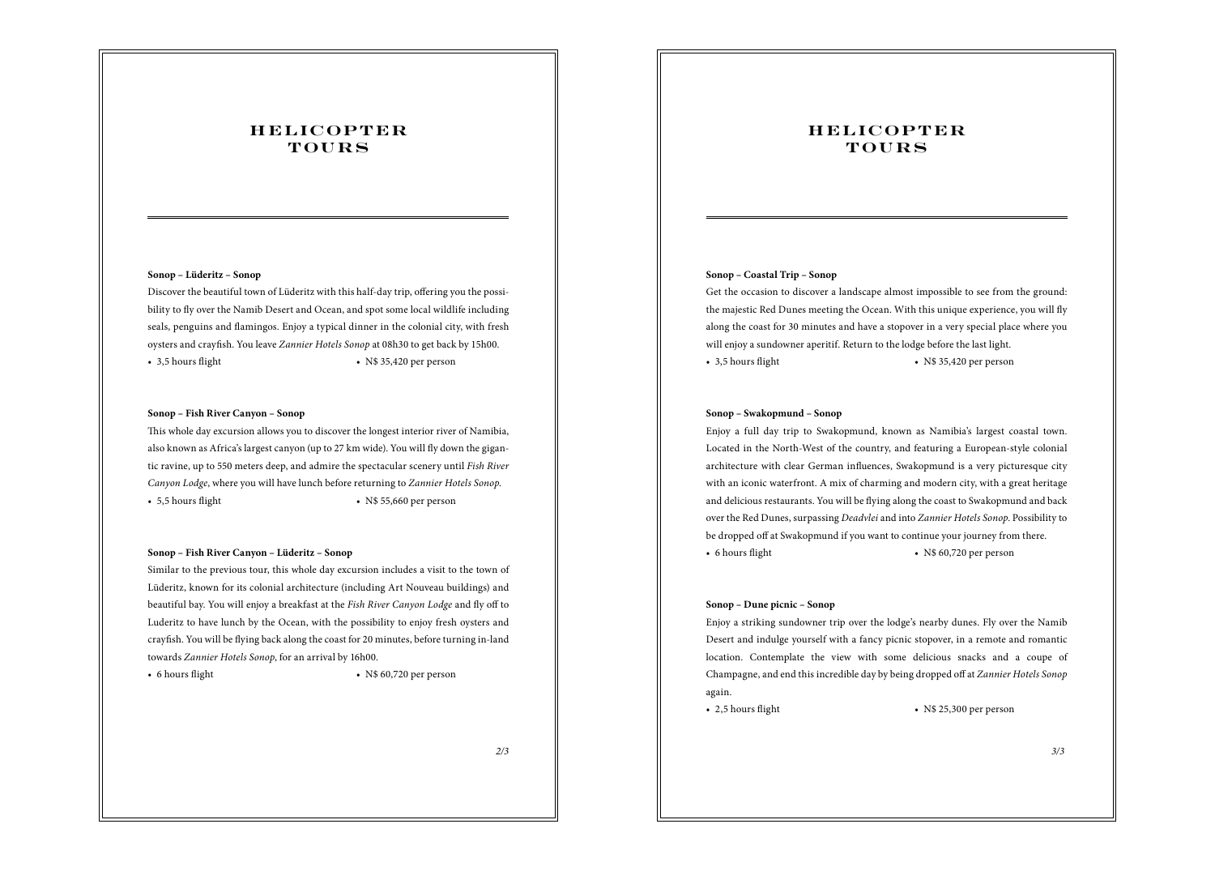## **HELICOPTER TOURS**

### **Sonop – Lüderitz – Sonop**

Discover the beautiful town of Lüderitz with this half-day trip, offering you the possibility to fly over the Namib Desert and Ocean, and spot some local wildlife including seals, penguins and flamingos. Enjoy a typical dinner in the colonial city, with fresh oysters and crayfish. You leave *Zannier Hotels Sonop* at 08h30 to get back by 15h00. • 3,5 hours flight • N\$ 35,420 per person

### **Sonop – Fish River Canyon – Sonop**

This whole day excursion allows you to discover the longest interior river of Namibia, also known as Africa's largest canyon (up to 27 km wide). You will fly down the gigantic ravine, up to 550 meters deep, and admire the spectacular scenery until *Fish River Canyon Lodge*, where you will have lunch before returning to *Zannier Hotels Sonop*. • 5,5 hours flight • N\$ 55,660 per person

### **Sonop – Fish River Canyon – Lüderitz – Sonop**

Similar to the previous tour, this whole day excursion includes a visit to the town of Lüderitz, known for its colonial architecture (including Art Nouveau buildings) and beautiful bay. You will enjoy a breakfast at the Fish River Canyon Lodge and fly off to Luderitz to have lunch by the Ocean, with the possibility to enjoy fresh oysters and crayfish. You will be flying back along the coast for 20 minutes, before turning in-land towards *Zannier Hotels Sonop*, for an arrival by 16h00.

### • 6 hours flight • N\$ 60,720 per person

### **HELICOPTER TOURS**

### **Sonop – Coastal Trip – Sonop**

Get the occasion to discover a landscape almost impossible to see from the ground: the majestic Red Dunes meeting the Ocean. With this unique experience, you will fly along the coast for 30 minutes and have a stopover in a very special place where you will enjoy a sundowner aperitif. Return to the lodge before the last light. • 3,5 hours flight • N\$ 35,420 per person

### **Sonop – Swakopmund – Sonop**

Enjoy a full day trip to Swakopmund, known as Namibia's largest coastal town. Located in the North-West of the country, and featuring a European-style colonial architecture with clear German influences, Swakopmund is a very picturesque city with an iconic waterfront. A mix of charming and modern city, with a great heritage and delicious restaurants. You will be flying along the coast to Swakopmund and back over the Red Dunes, surpassing *Deadvlei* and into *Zannier Hotels Sonop*. Possibility to be dropped off at Swakopmund if you want to continue your journey from there. • 6 hours flight • N\$ 60,720 per person

### **Sonop – Dune picnic – Sonop**

Enjoy a striking sundowner trip over the lodge's nearby dunes. Fly over the Namib Desert and indulge yourself with a fancy picnic stopover, in a remote and romantic location. Contemplate the view with some delicious snacks and a coupe of Champagne, and end this incredible day by being dropped off at *Zannier Hotels Sonop* again.

• 2,5 hours flight • N\$ 25,300 per person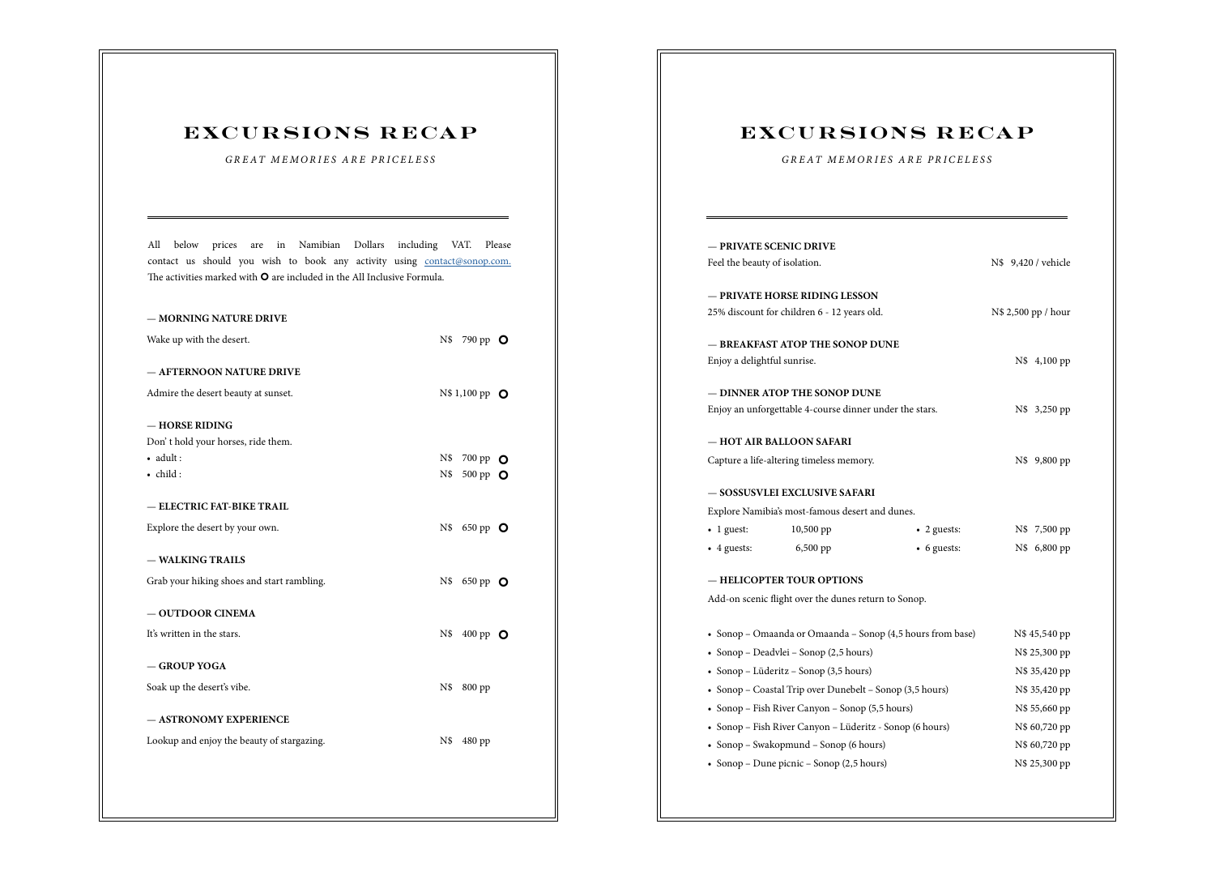## **EXCURSIONS RECAP**

*GREAT MEMORIES ARE PRICELESS*

All below prices are in Namibian Dollars including VAT. Please contact us should you wish to book any activity using contact@sonop.com. The activities marked with  $\mathbf O$  are included in the All Inclusive Formula.

| - MORNING NATURE DRIVE                     |                         |
|--------------------------------------------|-------------------------|
| Wake up with the desert.                   | $N\$<br>790 pp O        |
|                                            |                         |
| - AFTERNOON NATURE DRIVE                   |                         |
| Admire the desert beauty at sunset.        | N\$ 1,100 pp <b>O</b>   |
| - HORSE RIDING                             |                         |
| Don't hold your horses, ride them.         |                         |
| $\bullet$ adult:                           | $N\$<br>700 pp          |
| · child:                                   | O<br>N\$<br>500 pp 0    |
|                                            |                         |
| - ELECTRIC FAT-BIKE TRAIL                  |                         |
| Explore the desert by your own.            | N\$<br>650 pp <b>O</b>  |
|                                            |                         |
| - WALKING TRAILS                           |                         |
| Grab your hiking shoes and start rambling. | N\$<br>650 pp <b>O</b>  |
|                                            |                         |
| - OUTDOOR CINEMA                           |                         |
| It's written in the stars.                 | $N\$<br>400 pp <b>O</b> |
|                                            |                         |
| - GROUP YOGA                               |                         |
| Soak up the desert's vibe.                 | N\$<br>800 pp           |
| - ASTRONOMY EXPERIENCE                     |                         |
|                                            |                         |
| Lookup and enjoy the beauty of stargazing. | N\$<br>480 pp           |
|                                            |                         |
|                                            |                         |
|                                            |                         |

## **EXCURSIONS RECAP**

*GREAT MEMORIES ARE PRICELESS*

| — PRIVATE SCENIC DRIVE                                     |                                                      |                     |                     |               |  |
|------------------------------------------------------------|------------------------------------------------------|---------------------|---------------------|---------------|--|
| Feel the beauty of isolation.                              |                                                      |                     | N\$ 9,420 / vehicle |               |  |
|                                                            | - PRIVATE HORSE RIDING LESSON                        |                     |                     |               |  |
| 25% discount for children 6 - 12 years old.                |                                                      | N\$ 2,500 pp / hour |                     |               |  |
|                                                            | - BREAKFAST ATOP THE SONOP DUNE                      |                     |                     |               |  |
| Enjoy a delightful sunrise.                                |                                                      |                     |                     | N\$ 4,100 pp  |  |
|                                                            | — DINNER ATOP THE SONOP DUNE                         |                     |                     |               |  |
| Enjoy an unforgettable 4-course dinner under the stars.    |                                                      |                     |                     | N\$ 3,250 pp  |  |
|                                                            | — HOT AIR BALLOON SAFARI                             |                     |                     |               |  |
| Capture a life-altering timeless memory.                   |                                                      |                     |                     | N\$ 9,800 pp  |  |
|                                                            | — SOSSUSVLEI EXCLUSIVE SAFARI                        |                     |                     |               |  |
|                                                            | Explore Namibia's most-famous desert and dunes.      |                     |                     |               |  |
| $\bullet$ 1 guest:                                         | $10,500$ pp                                          | $\bullet$ 2 guests: |                     | N\$ 7,500 pp  |  |
| $\bullet$ 4 guests:                                        | 6,500 pp                                             | • 6 guests:         |                     | N\$ 6,800 pp  |  |
|                                                            | — HELICOPTER TOUR OPTIONS                            |                     |                     |               |  |
|                                                            | Add-on scenic flight over the dunes return to Sonop. |                     |                     |               |  |
| • Sonop - Omaanda or Omaanda - Sonop (4,5 hours from base) |                                                      |                     | N\$ 45,540 pp       |               |  |
| • Sonop – Deadvlei – Sonop (2,5 hours)                     |                                                      | N\$ 25,300 pp       |                     |               |  |
| • Sonop - Lüderitz - Sonop (3,5 hours)                     |                                                      | N\$ 35,420 pp       |                     |               |  |
| • Sonop - Coastal Trip over Dunebelt - Sonop (3,5 hours)   |                                                      | N\$ 35,420 pp       |                     |               |  |
| • Sonop - Fish River Canyon - Sonop (5,5 hours)            |                                                      |                     | N\$ 55,660 pp       |               |  |
| • Sonop - Fish River Canyon - Lüderitz - Sonop (6 hours)   |                                                      |                     | N\$ 60,720 pp       |               |  |
| • Sonop – Swakopmund – Sonop (6 hours)                     |                                                      |                     | N\$ 60,720 pp       |               |  |
| • Sonop – Dune picnic – Sonop (2,5 hours)                  |                                                      |                     |                     | N\$ 25,300 pp |  |
|                                                            |                                                      |                     |                     |               |  |